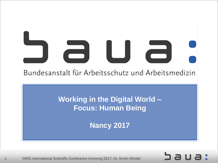# $\Box$ Bundesanstalt für Arbeitsschutz und Arbeitsmedizin

**Working in the Digital World – Focus: Human Being**

**Nancy 2017**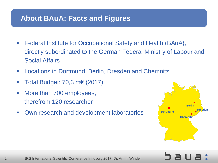#### **About BAuA: Facts and Figures**

- Federal Institute for Occupational Safety and Health (BAuA), directly subordinated to the German Federal Ministry of Labour and Social Affairs
- **EXEC** Locations in Dortmund, Berlin, Dresden and Chemnitz
- Total Budget: 70,3 m€ (2017)
- More than 700 employees, therefrom 120 researcher
- **Own research and development laboratories**

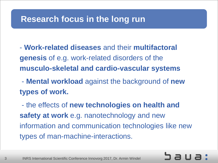#### **Research focus in the long run**

- **Work-related diseases** and their **multifactoral genesis** of e.g. work-related disorders of the **musculo-skeletal and cardio-vascular systems**

- **Mental workload** against the background of **new types of work.**

- the effects of **new technologies on health and safety at work** e.g. nanotechnology and new information and communication technologies like new types of man-machine-interactions.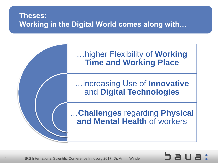#### **Theses: Working in the Digital World comes along with…**

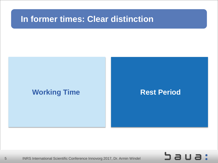### **In former times: Clear distinction**

#### **Working Time <b>Rest Period**

Saua: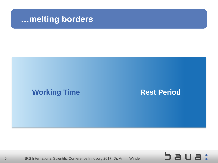#### **…melting borders**

#### **Working Time <b>Rest Period**

Saua: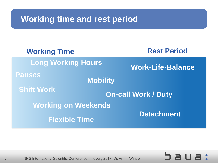### **Working time and rest period**

| <b>Working Time</b>              | <b>Rest Period</b>         |
|----------------------------------|----------------------------|
| <b>Long Working Hours</b>        | <b>Work-Life-Balance</b>   |
| <b>Pauses</b><br><b>Mobility</b> |                            |
| <b>Shift Work</b>                | <b>On-call Work / Duty</b> |
| <b>Working on Weekends</b>       |                            |
| <b>Flexible Time</b>             | <b>Detachment</b>          |

Saua: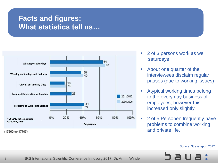#### **Facts and figures: What statistics tell us…**



- 2 of 3 persons work as well saturdays
- About one quarter of the interviewees disclaim regular pauses (due to working issues)
- Atypical working times belong to the every day business of employees, however this increased only slightly
- 2 of 5 Personen frequently have problems to combine working and private life.

Source: Stressreport 2012

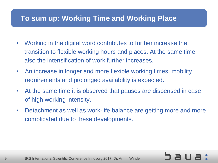#### **To sum up: Working Time and Working Place**

- Working in the digital word contributes to further increase the transition to flexible working hours and places. At the same time also the intensification of work further increases.
- An increase in longer and more flexible working times, mobility requirements and prolonged availability is expected.
- At the same time it is observed that pauses are dispensed in case of high working intensity.
- Detachment as well as work-life balance are getting more and more complicated due to these developments.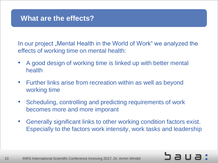In our project "Mental Health in the World of Work" we analyzed the effects of working time on mental health:

- A good design of working time is linked up with better mental health
- Further links arise from recreation within as well as beyond working time
- Scheduling, controlling and predicting requirements of work becomes more and more imporant
- Generally significant links to other working condition factors exist. Especially to the factors work intensity, work tasks and leadership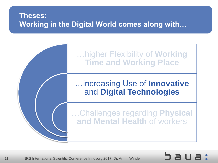#### **Theses: Working in the Digital World comes along with…**

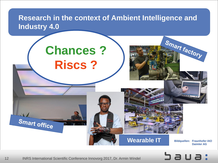#### **Research in the context of Ambient Intelligence and Industry 4.0**



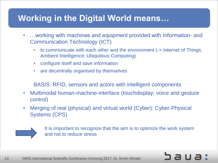### **Working in the Digital World means…**

- …working with machines and equipment provided with Information- and Communication Technology (ICT)
	- to communicate with each other and the environment (-> Internet of Things, Ambient Intelligence; Ubiquitous Computing)
	- configure itself and save information
	- are decentrally organised by themselves

BASIS: RFID, sensors and actors with intelligent components

- Multimodal human-machine-interface (touchdisplay; voice and gesture control)
- Merging of real (physical) and virtual world (Cyber): Cyber-Physical Systems (CPS)



It is important to recognize that the aim is to optimize the work system and not to reduce stress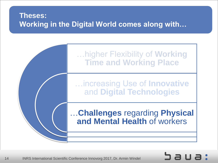#### **Theses: Working in the Digital World comes along with…**

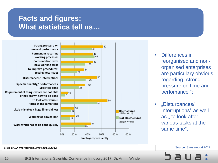#### **Facts and figures: What statistics tell us…**

Strong pressure on time and performance **Permanent recurring** working processes Confrontation with new working tasks To improve procedures:  $\overline{24}$ testing new issues Disturbances/ Interruptions Specific quantity/ Performance / 26 **Specified Time**  $6^{10}$ Requirement of things which are not able or not known how to be done To look after various tasks at the same time 20 Little mistakes / huge financial loss 15 21 Working at power limit 14 Work which has to be done quickly 0% 20%



- Differences in reorganised and nonorganised enterprises are particulary obvious regarding "strong pressure on time and perfomance ";
- "Disturbances/ Interruptions" as well as, to look after various tasks at the same time".

Source: Stressreport 2012



BIBB-BAuA-Workforce Survey 2011/2012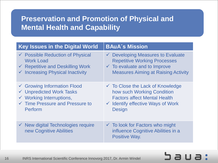#### **Preservation and Promotion of Physical and Mental Health and Capability**

| <b>Key Issues in the Digital World</b>                                   | <b>BAuA's Mission</b>                                                                                    |
|--------------------------------------------------------------------------|----------------------------------------------------------------------------------------------------------|
| $\checkmark$ Possible Reduction of Physical                              | $\checkmark$ Developing Measures to Evaluate                                                             |
| <b>Work Load</b>                                                         | <b>Repetitive Working Processes</b>                                                                      |
| $\checkmark$ Repetitive and Deskilling Work                              | $\checkmark$ To evaluate and to Improve                                                                  |
| $\checkmark$ Increasing Physical Inactivity                              | <b>Measures Aiming at Raising Activity</b>                                                               |
| $\checkmark$ Growing Information Flood                                   | $\checkmark$ To Close the Lack of Knowledge                                                              |
| ← Unpredicted Work Tasks                                                 | how such Working Condition                                                                               |
| $\checkmark$ Working Interruptions,                                      | <b>Factors affect Mental Health</b>                                                                      |
| $\checkmark$ Time Pressure and Pressure to                               | $\checkmark$ Identify effective Ways of Work                                                             |
| Perform                                                                  | <b>Design</b>                                                                                            |
| $\checkmark$ New digital Technologies require<br>new Cognitive Abilities | $\checkmark$ To look for Factors who might<br>influence Cognitive Abilities in a<br><b>Positive Way.</b> |

## sus: